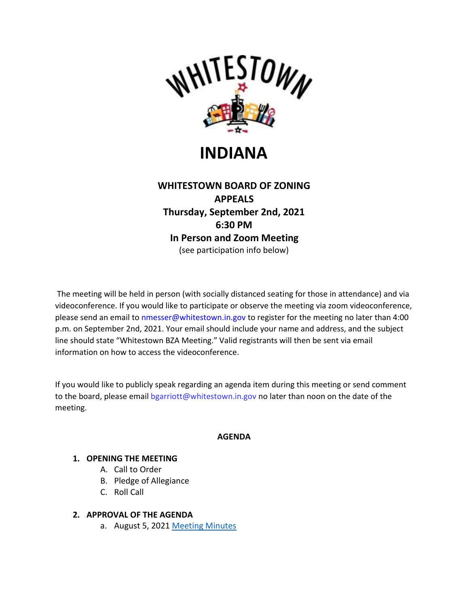

# **INDIANA**

# **WHITESTOWN BOARD OF ZONING APPEALS Thursday, September 2nd, 2021 6:30 PM In Person and Zoom Meeting** (see participation info below)

The meeting will be held in person (with socially distanced seating for those in attendance) and via videoconference. If you would like to participate or observe the meeting via zoom videoconference, please send an email to nmesser@whitestown.in.gov to register for the meeting no later than 4:00 p.m. on September 2nd, 2021. Your email should include your name and address, and the subject line should state "Whitestown BZA Meeting." Valid registrants will then be sent via email information on how to access the videoconference.

If you would like to publicly speak regarding an agenda item during this meeting or send comment to the board, please email bgarriott@whitestown.in.gov no later than noon on the date of the meeting.

# **AGENDA**

# **1. OPENING THE MEETING**

- A. Call to Order
- B. Pledge of Allegiance
- C. Roll Call

# **2. APPROVAL OF THE AGENDA**

a. August 5, 2021 [Meeting Minutes](https://whitestown.in.gov/vertical/sites/%7BB8BE8AC3-9DE8-4247-BCB0-1173F48CC7C3%7D/uploads/08-05-21_BZA_Meeting_Minutes.pdf)